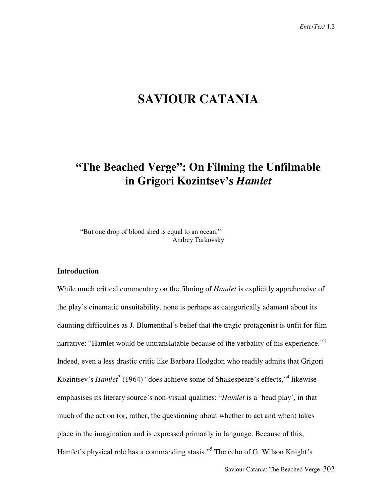# **SAVIOUR CATANIA**

# **"The Beached Verge": On Filming the Unfilmable in Grigori Kozintsev's** *Hamlet*

"But one drop of blood shed is equal to an ocean."<sup>1</sup> Andrey Tarkovsky

## **Introduction**

While much critical commentary on the filming of *Hamlet* is explicitly apprehensive of the play's cinematic unsuitability, none is perhaps as categorically adamant about its daunting difficulties as J. Blumenthal's belief that the tragic protagonist is unfit for film narrative: "Hamlet would be untranslatable because of the verbality of his experience."<sup>2</sup> Indeed, even a less drastic critic like Barbara Hodgdon who readily admits that Grigori Kozintsev's *Hamlet*<sup>3</sup> (1964) "does achieve some of Shakespeare's effects,"<sup>4</sup> likewise emphasises its literary source's non-visual qualities: "*Hamlet* is a 'head play', in that much of the action (or, rather, the questioning about whether to act and when) takes place in the imagination and is expressed primarily in language. Because of this, Hamlet's physical role has a commanding stasis."<sup>5</sup> The echo of G. Wilson Knight's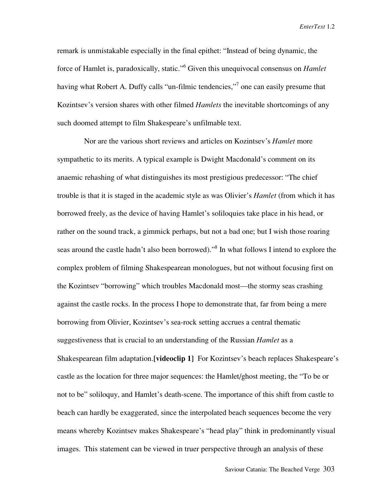remark is unmistakable especially in the final epithet: "Instead of being dynamic, the force of Hamlet is, paradoxically, static."<sup>6</sup> Given this unequivocal consensus on *Hamlet* having what Robert A. Duffy calls "un-filmic tendencies,"<sup>7</sup> one can easily presume that Kozintsev's version shares with other filmed *Hamlets* the inevitable shortcomings of any such doomed attempt to film Shakespeare's unfilmable text.

Nor are the various short reviews and articles on Kozintsev's *Hamlet* more sympathetic to its merits. A typical example is Dwight Macdonald's comment on its anaemic rehashing of what distinguishes its most prestigious predecessor: "The chief trouble is that it is staged in the academic style as was Olivier's *Hamlet* (from which it has borrowed freely, as the device of having Hamlet's soliloquies take place in his head, or rather on the sound track, a gimmick perhaps, but not a bad one; but I wish those roaring seas around the castle hadn't also been borrowed)."<sup>8</sup> In what follows I intend to explore the complex problem of filming Shakespearean monologues, but not without focusing first on the Kozintsev "borrowing" which troubles Macdonald most—the stormy seas crashing against the castle rocks. In the process I hope to demonstrate that, far from being a mere borrowing from Olivier, Kozintsev's sea-rock setting accrues a central thematic suggestiveness that is crucial to an understanding of the Russian *Hamlet* as a Shakespearean film adaptation.**[videoclip 1]** For Kozintsev's beach replaces Shakespeare's castle as the location for three major sequences: the Hamlet/ghost meeting, the "To be or not to be" soliloquy, and Hamlet's death-scene. The importance of this shift from castle to beach can hardly be exaggerated, since the interpolated beach sequences become the very means whereby Kozintsev makes Shakespeare's "head play" think in predominantly visual images. This statement can be viewed in truer perspective through an analysis of these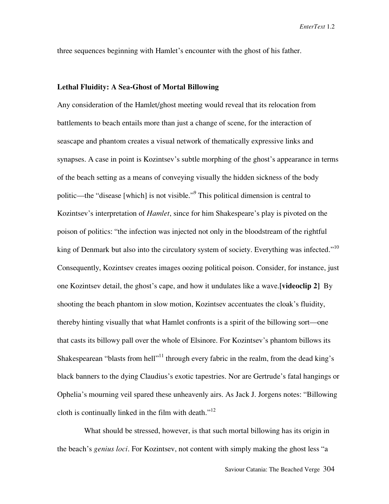three sequences beginning with Hamlet's encounter with the ghost of his father.

### **Lethal Fluidity: A Sea-Ghost of Mortal Billowing**

Any consideration of the Hamlet/ghost meeting would reveal that its relocation from battlements to beach entails more than just a change of scene, for the interaction of seascape and phantom creates a visual network of thematically expressive links and synapses. A case in point is Kozintsev's subtle morphing of the ghost's appearance in terms of the beach setting as a means of conveying visually the hidden sickness of the body politic—the "disease [which] is not visible."<sup>9</sup> This political dimension is central to Kozintsev's interpretation of *Hamlet*, since for him Shakespeare's play is pivoted on the poison of politics: "the infection was injected not only in the bloodstream of the rightful king of Denmark but also into the circulatory system of society. Everything was infected."<sup>10</sup> Consequently, Kozintsev creates images oozing political poison. Consider, for instance, just one Kozintsev detail, the ghost's cape, and how it undulates like a wave.**[videoclip 2]** By shooting the beach phantom in slow motion, Kozintsev accentuates the cloak's fluidity, thereby hinting visually that what Hamlet confronts is a spirit of the billowing sort—one that casts its billowy pall over the whole of Elsinore. For Kozintsev's phantom billows its Shakespearean "blasts from hell"<sup>11</sup> through every fabric in the realm, from the dead king's black banners to the dying Claudius's exotic tapestries. Nor are Gertrude's fatal hangings or Ophelia's mourning veil spared these unheavenly airs. As Jack J. Jorgens notes: "Billowing cloth is continually linked in the film with death. $"^{12}$ 

What should be stressed, however, is that such mortal billowing has its origin in the beach's *genius loci*. For Kozintsev, not content with simply making the ghost less "a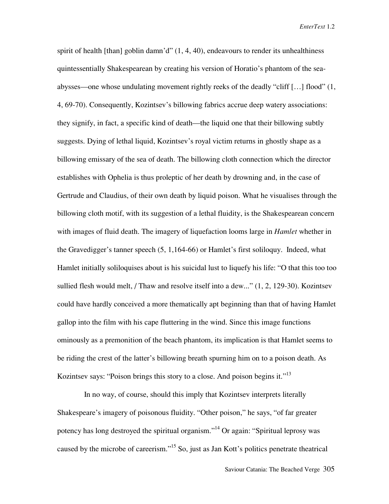spirit of health [than] goblin damn'd" (1, 4, 40), endeavours to render its unhealthiness quintessentially Shakespearean by creating his version of Horatio's phantom of the seaabysses—one whose undulating movement rightly reeks of the deadly "cliff […] flood" (1, 4, 69-70). Consequently, Kozintsev's billowing fabrics accrue deep watery associations: they signify, in fact, a specific kind of death—the liquid one that their billowing subtly suggests. Dying of lethal liquid, Kozintsev's royal victim returns in ghostly shape as a billowing emissary of the sea of death. The billowing cloth connection which the director establishes with Ophelia is thus proleptic of her death by drowning and, in the case of Gertrude and Claudius, of their own death by liquid poison. What he visualises through the billowing cloth motif, with its suggestion of a lethal fluidity, is the Shakespearean concern with images of fluid death. The imagery of liquefaction looms large in *Hamlet* whether in the Gravedigger's tanner speech (5, 1,164-66) or Hamlet's first soliloquy. Indeed, what Hamlet initially soliloquises about is his suicidal lust to liquefy his life: "O that this too too sullied flesh would melt, / Thaw and resolve itself into a dew..." (1, 2, 129-30). Kozintsev could have hardly conceived a more thematically apt beginning than that of having Hamlet gallop into the film with his cape fluttering in the wind. Since this image functions ominously as a premonition of the beach phantom, its implication is that Hamlet seems to be riding the crest of the latter's billowing breath spurning him on to a poison death. As Kozintsev says: "Poison brings this story to a close. And poison begins it."<sup>13</sup>

In no way, of course, should this imply that Kozintsev interprets literally Shakespeare's imagery of poisonous fluidity. "Other poison," he says, "of far greater potency has long destroyed the spiritual organism."<sup>14</sup> Or again: "Spiritual leprosy was caused by the microbe of careerism."<sup>15</sup> So, just as Jan Kott's politics penetrate theatrical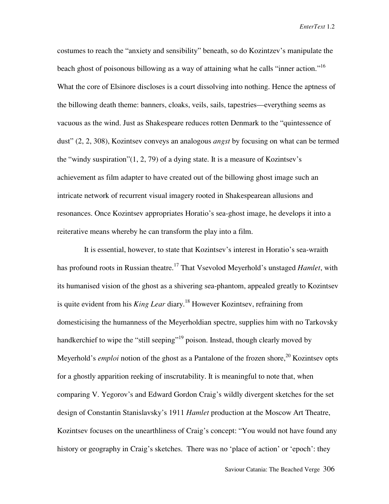costumes to reach the "anxiety and sensibility" beneath, so do Kozintzev's manipulate the beach ghost of poisonous billowing as a way of attaining what he calls "inner action."<sup>16</sup> What the core of Elsinore discloses is a court dissolving into nothing. Hence the aptness of the billowing death theme: banners, cloaks, veils, sails, tapestries—everything seems as vacuous as the wind. Just as Shakespeare reduces rotten Denmark to the "quintessence of dust" (2, 2, 308), Kozintsev conveys an analogous *angst* by focusing on what can be termed the "windy suspiration"(1, 2, 79) of a dying state. It is a measure of Kozintsev's achievement as film adapter to have created out of the billowing ghost image such an intricate network of recurrent visual imagery rooted in Shakespearean allusions and resonances. Once Kozintsev appropriates Horatio's sea-ghost image, he develops it into a reiterative means whereby he can transform the play into a film.

It is essential, however, to state that Kozintsev's interest in Horatio's sea-wraith has profound roots in Russian theatre.<sup>17</sup> That Vsevolod Meyerhold's unstaged *Hamlet*, with its humanised vision of the ghost as a shivering sea-phantom, appealed greatly to Kozintsev is quite evident from his *King Lear* diary.<sup>18</sup> However Kozintsev, refraining from domesticising the humanness of the Meyerholdian spectre, supplies him with no Tarkovsky handkerchief to wipe the "still seeping"<sup>19</sup> poison. Instead, though clearly moved by Meyerhold's *emploi* notion of the ghost as a Pantalone of the frozen shore,<sup>20</sup> Kozintsev opts for a ghostly apparition reeking of inscrutability. It is meaningful to note that, when comparing V. Yegorov's and Edward Gordon Craig's wildly divergent sketches for the set design of Constantin Stanislavsky's 1911 *Hamlet* production at the Moscow Art Theatre, Kozintsev focuses on the unearthliness of Craig's concept: "You would not have found any history or geography in Craig's sketches. There was no 'place of action' or 'epoch': they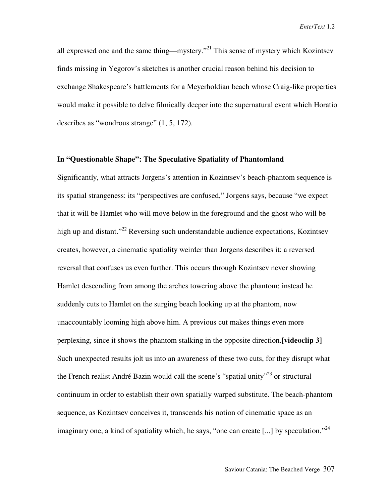all expressed one and the same thing—mystery."21 This sense of mystery which Kozintsev finds missing in Yegorov's sketches is another crucial reason behind his decision to exchange Shakespeare's battlements for a Meyerholdian beach whose Craig-like properties would make it possible to delve filmically deeper into the supernatural event which Horatio describes as "wondrous strange" (1, 5, 172).

### **In "Questionable Shape": The Speculative Spatiality of Phantomland**

Significantly, what attracts Jorgens's attention in Kozintsev's beach-phantom sequence is its spatial strangeness: its "perspectives are confused," Jorgens says, because "we expect that it will be Hamlet who will move below in the foreground and the ghost who will be high up and distant."<sup>22</sup> Reversing such understandable audience expectations, Kozintsev creates, however, a cinematic spatiality weirder than Jorgens describes it: a reversed reversal that confuses us even further. This occurs through Kozintsev never showing Hamlet descending from among the arches towering above the phantom; instead he suddenly cuts to Hamlet on the surging beach looking up at the phantom, now unaccountably looming high above him. A previous cut makes things even more perplexing, since it shows the phantom stalking in the opposite direction.**[videoclip 3]** Such unexpected results jolt us into an awareness of these two cuts, for they disrupt what the French realist André Bazin would call the scene's "spatial unity"<sup>23</sup> or structural continuum in order to establish their own spatially warped substitute. The beach-phantom sequence, as Kozintsev conceives it, transcends his notion of cinematic space as an imaginary one, a kind of spatiality which, he says, "one can create [...] by speculation."<sup>24</sup>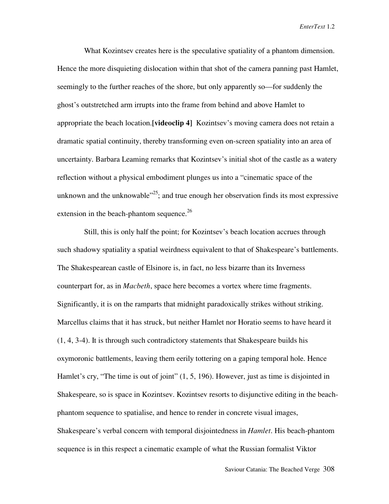What Kozintsev creates here is the speculative spatiality of a phantom dimension. Hence the more disquieting dislocation within that shot of the camera panning past Hamlet, seemingly to the further reaches of the shore, but only apparently so—for suddenly the ghost's outstretched arm irrupts into the frame from behind and above Hamlet to appropriate the beach location.**[videoclip 4]** Kozintsev's moving camera does not retain a dramatic spatial continuity, thereby transforming even on-screen spatiality into an area of uncertainty. Barbara Leaming remarks that Kozintsev's initial shot of the castle as a watery reflection without a physical embodiment plunges us into a "cinematic space of the unknown and the unknowable<sup> $25$ </sup>; and true enough her observation finds its most expressive extension in the beach-phantom sequence. $26$ 

Still, this is only half the point; for Kozintsev's beach location accrues through such shadowy spatiality a spatial weirdness equivalent to that of Shakespeare's battlements. The Shakespearean castle of Elsinore is, in fact, no less bizarre than its Inverness counterpart for, as in *Macbeth*, space here becomes a vortex where time fragments. Significantly, it is on the ramparts that midnight paradoxically strikes without striking. Marcellus claims that it has struck, but neither Hamlet nor Horatio seems to have heard it (1, 4, 3-4). It is through such contradictory statements that Shakespeare builds his oxymoronic battlements, leaving them eerily tottering on a gaping temporal hole. Hence Hamlet's cry, "The time is out of joint" (1, 5, 196). However, just as time is disjointed in Shakespeare, so is space in Kozintsev. Kozintsev resorts to disjunctive editing in the beachphantom sequence to spatialise, and hence to render in concrete visual images, Shakespeare's verbal concern with temporal disjointedness in *Hamlet*. His beach-phantom sequence is in this respect a cinematic example of what the Russian formalist Viktor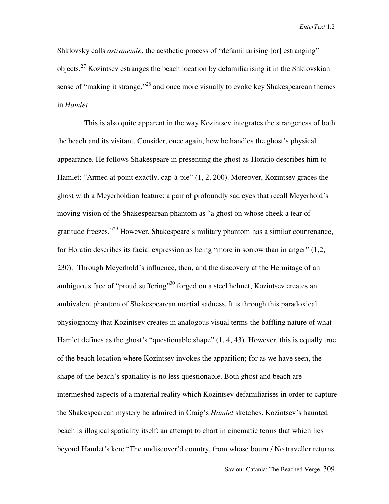Shklovsky calls *ostranemie*, the aesthetic process of "defamiliarising [or] estranging" objects.<sup>27</sup> Kozintsev estranges the beach location by defamiliarising it in the Shklovskian sense of "making it strange,"<sup>28</sup> and once more visually to evoke key Shakespearean themes in *Hamlet*.

This is also quite apparent in the way Kozintsev integrates the strangeness of both the beach and its visitant. Consider, once again, how he handles the ghost's physical appearance. He follows Shakespeare in presenting the ghost as Horatio describes him to Hamlet: "Armed at point exactly, cap-à-pie" (1, 2, 200). Moreover, Kozintsev graces the ghost with a Meyerholdian feature: a pair of profoundly sad eyes that recall Meyerhold's moving vision of the Shakespearean phantom as "a ghost on whose cheek a tear of gratitude freezes."<sup>29</sup> However, Shakespeare's military phantom has a similar countenance, for Horatio describes its facial expression as being "more in sorrow than in anger" (1,2, 230). Through Meyerhold's influence, then, and the discovery at the Hermitage of an ambiguous face of "proud suffering"<sup>30</sup> forged on a steel helmet, Kozintsev creates an ambivalent phantom of Shakespearean martial sadness. It is through this paradoxical physiognomy that Kozintsev creates in analogous visual terms the baffling nature of what Hamlet defines as the ghost's "questionable shape" (1, 4, 43). However, this is equally true of the beach location where Kozintsev invokes the apparition; for as we have seen, the shape of the beach's spatiality is no less questionable. Both ghost and beach are intermeshed aspects of a material reality which Kozintsev defamiliarises in order to capture the Shakespearean mystery he admired in Craig's *Hamlet* sketches. Kozintsev's haunted beach is illogical spatiality itself: an attempt to chart in cinematic terms that which lies beyond Hamlet's ken: "The undiscover'd country, from whose bourn / No traveller returns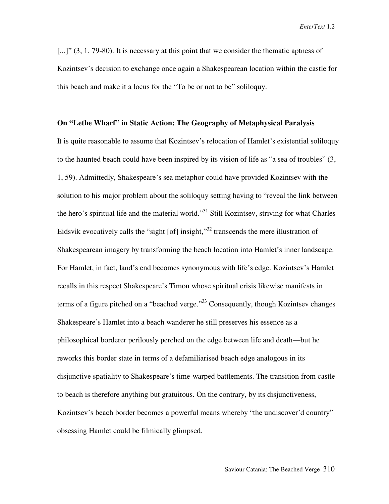[...]"  $(3, 1, 79-80)$ . It is necessary at this point that we consider the thematic aptness of Kozintsev's decision to exchange once again a Shakespearean location within the castle for this beach and make it a locus for the "To be or not to be" soliloquy.

#### **On "Lethe Wharf" in Static Action: The Geography of Metaphysical Paralysis**

It is quite reasonable to assume that Kozintsev's relocation of Hamlet's existential soliloquy to the haunted beach could have been inspired by its vision of life as "a sea of troubles" (3, 1, 59). Admittedly, Shakespeare's sea metaphor could have provided Kozintsev with the solution to his major problem about the soliloquy setting having to "reveal the link between the hero's spiritual life and the material world."<sup>31</sup> Still Kozintsev, striving for what Charles Eidsvik evocatively calls the "sight [of] insight," $32$  transcends the mere illustration of Shakespearean imagery by transforming the beach location into Hamlet's inner landscape. For Hamlet, in fact, land's end becomes synonymous with life's edge. Kozintsev's Hamlet recalls in this respect Shakespeare's Timon whose spiritual crisis likewise manifests in terms of a figure pitched on a "beached verge."<sup>33</sup> Consequently, though Kozintsev changes Shakespeare's Hamlet into a beach wanderer he still preserves his essence as a philosophical borderer perilously perched on the edge between life and death—but he reworks this border state in terms of a defamiliarised beach edge analogous in its disjunctive spatiality to Shakespeare's time-warped battlements. The transition from castle to beach is therefore anything but gratuitous. On the contrary, by its disjunctiveness, Kozintsev's beach border becomes a powerful means whereby "the undiscover'd country" obsessing Hamlet could be filmically glimpsed.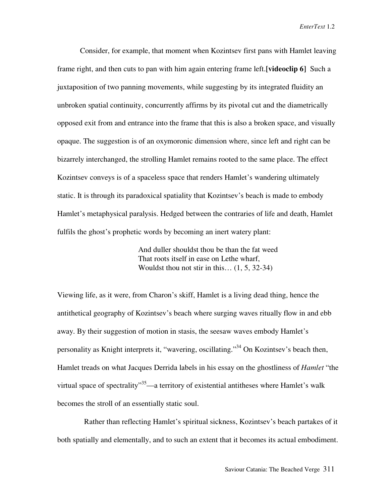Consider, for example, that moment when Kozintsev first pans with Hamlet leaving frame right, and then cuts to pan with him again entering frame left.**[videoclip 6]** Such a juxtaposition of two panning movements, while suggesting by its integrated fluidity an unbroken spatial continuity, concurrently affirms by its pivotal cut and the diametrically opposed exit from and entrance into the frame that this is also a broken space, and visually opaque. The suggestion is of an oxymoronic dimension where, since left and right can be bizarrely interchanged, the strolling Hamlet remains rooted to the same place. The effect Kozintsev conveys is of a spaceless space that renders Hamlet's wandering ultimately static. It is through its paradoxical spatiality that Kozintsev's beach is made to embody Hamlet's metaphysical paralysis. Hedged between the contraries of life and death, Hamlet fulfils the ghost's prophetic words by becoming an inert watery plant:

> And duller shouldst thou be than the fat weed That roots itself in ease on Lethe wharf, Wouldst thou not stir in this… (1, 5, 32-34)

Viewing life, as it were, from Charon's skiff, Hamlet is a living dead thing, hence the antithetical geography of Kozintsev's beach where surging waves ritually flow in and ebb away. By their suggestion of motion in stasis, the seesaw waves embody Hamlet's personality as Knight interprets it, "wavering, oscillating."<sup>34</sup> On Kozintsev's beach then, Hamlet treads on what Jacques Derrida labels in his essay on the ghostliness of *Hamlet* "the virtual space of spectrality<sup>35</sup>—a territory of existential antitheses where Hamlet's walk becomes the stroll of an essentially static soul.

Rather than reflecting Hamlet's spiritual sickness, Kozintsev's beach partakes of it both spatially and elementally, and to such an extent that it becomes its actual embodiment.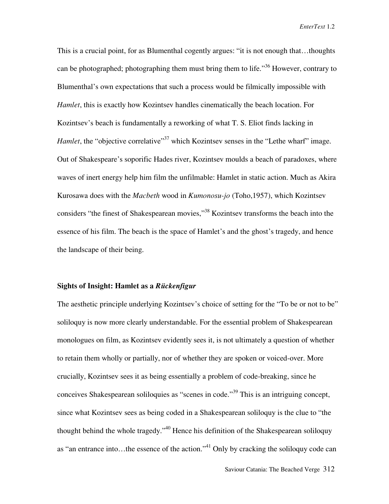This is a crucial point, for as Blumenthal cogently argues: "it is not enough that…thoughts can be photographed; photographing them must bring them to life.<sup>356</sup> However, contrary to Blumenthal's own expectations that such a process would be filmically impossible with *Hamlet*, this is exactly how Kozintsev handles cinematically the beach location. For Kozintsev's beach is fundamentally a reworking of what T. S. Eliot finds lacking in *Hamlet*, the "objective correlative"<sup>37</sup> which Kozintsev senses in the "Lethe wharf" image. Out of Shakespeare's soporific Hades river, Kozintsev moulds a beach of paradoxes, where waves of inert energy help him film the unfilmable: Hamlet in static action. Much as Akira Kurosawa does with the *Macbeth* wood in *Kumonosu-jo* (Toho,1957), which Kozintsev considers "the finest of Shakespearean movies,"<sup>38</sup> Kozintsev transforms the beach into the essence of his film. The beach is the space of Hamlet's and the ghost's tragedy, and hence the landscape of their being.

### **Sights of Insight: Hamlet as a** *Rückenfigur*

The aesthetic principle underlying Kozintsev's choice of setting for the "To be or not to be" soliloquy is now more clearly understandable. For the essential problem of Shakespearean monologues on film, as Kozintsev evidently sees it, is not ultimately a question of whether to retain them wholly or partially, nor of whether they are spoken or voiced-over. More crucially, Kozintsev sees it as being essentially a problem of code-breaking, since he conceives Shakespearean soliloquies as "scenes in code."<sup>39</sup> This is an intriguing concept, since what Kozintsev sees as being coded in a Shakespearean soliloquy is the clue to "the thought behind the whole tragedy."<sup>40</sup> Hence his definition of the Shakespearean soliloquy as "an entrance into...the essence of the action."<sup>41</sup> Only by cracking the soliloquy code can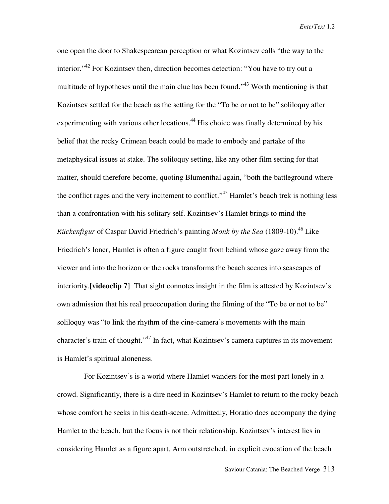one open the door to Shakespearean perception or what Kozintsev calls "the way to the interior."<sup>42</sup> For Kozintsev then, direction becomes detection: "You have to try out a multitude of hypotheses until the main clue has been found."<sup>43</sup> Worth mentioning is that Kozintsev settled for the beach as the setting for the "To be or not to be" soliloquy after experimenting with various other locations.<sup>44</sup> His choice was finally determined by his belief that the rocky Crimean beach could be made to embody and partake of the metaphysical issues at stake. The soliloquy setting, like any other film setting for that matter, should therefore become, quoting Blumenthal again, "both the battleground where the conflict rages and the very incitement to conflict."<sup>45</sup> Hamlet's beach trek is nothing less than a confrontation with his solitary self. Kozintsev's Hamlet brings to mind the *Rückenfigur* of Caspar David Friedrich's painting *Monk by the Sea* (1809-10).<sup>46</sup> Like Friedrich's loner, Hamlet is often a figure caught from behind whose gaze away from the viewer and into the horizon or the rocks transforms the beach scenes into seascapes of interiority.**[videoclip 7]** That sight connotes insight in the film is attested by Kozintsev's own admission that his real preoccupation during the filming of the "To be or not to be" soliloquy was "to link the rhythm of the cine-camera's movements with the main character's train of thought."<sup>47</sup> In fact, what Kozintsey's camera captures in its movement is Hamlet's spiritual aloneness.

For Kozintsev's is a world where Hamlet wanders for the most part lonely in a crowd. Significantly, there is a dire need in Kozintsev's Hamlet to return to the rocky beach whose comfort he seeks in his death-scene. Admittedly, Horatio does accompany the dying Hamlet to the beach, but the focus is not their relationship. Kozintsev's interest lies in considering Hamlet as a figure apart. Arm outstretched, in explicit evocation of the beach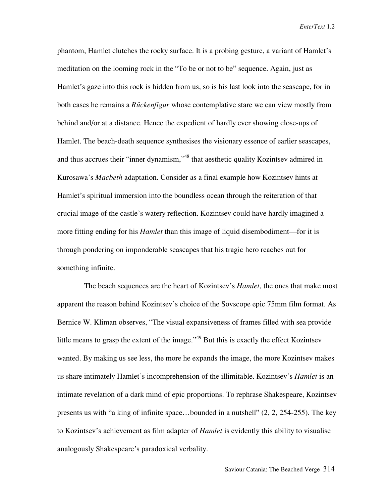phantom, Hamlet clutches the rocky surface. It is a probing gesture, a variant of Hamlet's meditation on the looming rock in the "To be or not to be" sequence. Again, just as Hamlet's gaze into this rock is hidden from us, so is his last look into the seascape, for in both cases he remains a *Rückenfigur* whose contemplative stare we can view mostly from behind and/or at a distance. Hence the expedient of hardly ever showing close-ups of Hamlet. The beach-death sequence synthesises the visionary essence of earlier seascapes, and thus accrues their "inner dynamism,"<sup>48</sup> that aesthetic quality Kozintsev admired in Kurosawa's *Macbeth* adaptation. Consider as a final example how Kozintsev hints at Hamlet's spiritual immersion into the boundless ocean through the reiteration of that crucial image of the castle's watery reflection. Kozintsev could have hardly imagined a more fitting ending for his *Hamlet* than this image of liquid disembodiment—for it is through pondering on imponderable seascapes that his tragic hero reaches out for something infinite.

The beach sequences are the heart of Kozintsev's *Hamlet*, the ones that make most apparent the reason behind Kozintsev's choice of the Sovscope epic 75mm film format. As Bernice W. Kliman observes, "The visual expansiveness of frames filled with sea provide little means to grasp the extent of the image."<sup>49</sup> But this is exactly the effect Kozintsev wanted. By making us see less, the more he expands the image, the more Kozintsev makes us share intimately Hamlet's incomprehension of the illimitable. Kozintsev's *Hamlet* is an intimate revelation of a dark mind of epic proportions. To rephrase Shakespeare, Kozintsev presents us with "a king of infinite space…bounded in a nutshell" (2, 2, 254-255). The key to Kozintsev's achievement as film adapter of *Hamlet* is evidently this ability to visualise analogously Shakespeare's paradoxical verbality.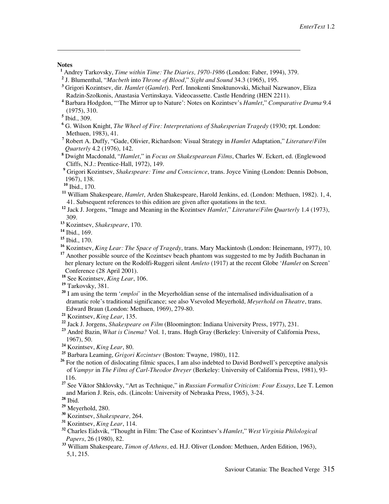#### **Notes**

 $\overline{a}$ 

- Andrey Tarkovsky, *Time within Time: The Diaries, 1970-1986* (London: Faber, 1994), 379.
- <sup>1</sup> Andrey Tarkovsky, *Time within Time: The Diaries, 1970-1986* (London: Faber, 199<sup>2</sup> J. Blumenthal, "*Macbeth* into *Throne of Blood,*" *Sight and Sound* 34.3 (1965), 195.
- **3** Grigori Kozintsev, dir. *Hamlet* (*Gamlet*). Perf. Innokenti Smoktunovski, Michail Nazwanov, Eliza Radzin-Szolkonis, Anastasia Vertinskaya. Videocassette. Castle Hendring (HEN 2211).
- **4** Barbara Hodgdon, "'The Mirror up to Nature': Notes on Kozintsev's *Hamlet*," *Comparative Drama* 9.4 (1975), 310.

- **6** G. Wilson Knight, *The Wheel of Fire: Interpretations of Shakesperian Tragedy* (1930; rpt. London: Methuen, 1983), 41.
- **7** Robert A. Duffy, "Gade, Olivier, Richardson: Visual Strategy in *Hamlet* Adaptation," *Literature/Film Quarterly* 4.2 (1976), 142.
	- **8** Dwight Macdonald, "*Hamlet*," in *Focus on Shakespearean Films*, Charles W. Eckert, ed. (Englewood Cliffs, N.J.: Prentice-Hall, 1972), 149.
- **<sup>9</sup>** Grigori Kozintsev, *Shakespeare: Time and Conscience*, trans. Joyce Vining (London: Dennis Dobson, 1967), 138.
	- **<sup>10</sup>** Ibid., 170.
	- **<sup>11</sup>** William Shakespeare, *Hamlet*, Arden Shakespeare, Harold Jenkins, ed. (London: Methuen, 1982). 1, 4, 41. Subsequent references to this edition are given after quotations in the text.
- **<sup>12</sup>** Jack J. Jorgens, "Image and Meaning in the Kozintsev *Hamlet*," *Literature/Film Quarterly* 1.4 (1973), 309.
- **<sup>13</sup>** Kozintsev, *Shakespeare*, 170.
- **<sup>14</sup>** Ibid., 169.
- **<sup>15</sup>** Ibid., 170.
- **<sup>16</sup>** Kozintsev, *King Lear: The Space of Tragedy*, trans. Mary Mackintosh (London: Heinemann, 1977), 10.

<sup>17</sup> Another possible source of the Kozintsev beach phantom was suggested to me by Judith Buchanan in her plenary lecture on the Rodolfi-Ruggeri silent *Amleto* (1917) at the recent Globe '*Hamlet* on Screen' Conference (28 April 2001).

- **<sup>18</sup>** See Kozintsev, *King Lear*, 106.
- **<sup>19</sup>** Tarkovsky, 381.
- **<sup>20</sup>** I am using the term '*emploi'* in the Meyerholdian sense of the internalised individualisation of a dramatic role's traditional significance; see also Vsevolod Meyerhold, *Meyerhold on Theatre*, trans. Edward Braun (London: Methuen, 1969), 279-80.
- **<sup>21</sup>** Kozintsev, *King Lear*, 135.
- **<sup>22</sup>** Jack J. Jorgens, *Shakespeare on Film* (Bloomington: Indiana University Press, 1977), 231.
- **<sup>23</sup>** André Bazin, *What is Cinema?* Vol. 1, trans. Hugh Gray (Berkeley: University of California Press, 1967), 50.
- **<sup>24</sup>** Kozintsev, *King Lear*, 80.
- **<sup>25</sup>** Barbara Leaming, *Grigori Kozintsev* (Boston: Twayne, 1980), 112.
- <sup>26</sup> For the notion of dislocating filmic spaces, I am also indebted to David Bordwell's perceptive analysis of *Vampyr* in *The Films of Carl-Theodor Dreyer* (Berkeley: University of California Press, 1981), 93- 116.
- **<sup>27</sup>** See Viktor Shklovsky, "Art as Technique," in *Russian Formalist Criticism: Four Essays*, Lee T. Lemon and Marion J. Reis, eds. (Lincoln: University of Nebraska Press, 1965), 3-24.

- **<sup>29</sup>** Meyerhold, 280.
- **<sup>30</sup>** Kozintsev, *Shakespeare,* 264.
- **<sup>31</sup>** Kozintsev, *King Lear*, 114.
- **<sup>32</sup>** Charles Eidsvik, "Thought in Film: The Case of Kozintsev's *Hamlet*," *West Virginia Philological Papers*, 26 (1980), 82.
- **<sup>33</sup>** William Shakespeare, *Timon of Athens,* ed. H.J. Oliver (London: Methuen, Arden Edition, 1963), 5,1, 215.

**<sup>5</sup>** Ibid., 309.

**<sup>28</sup>** Ibid.